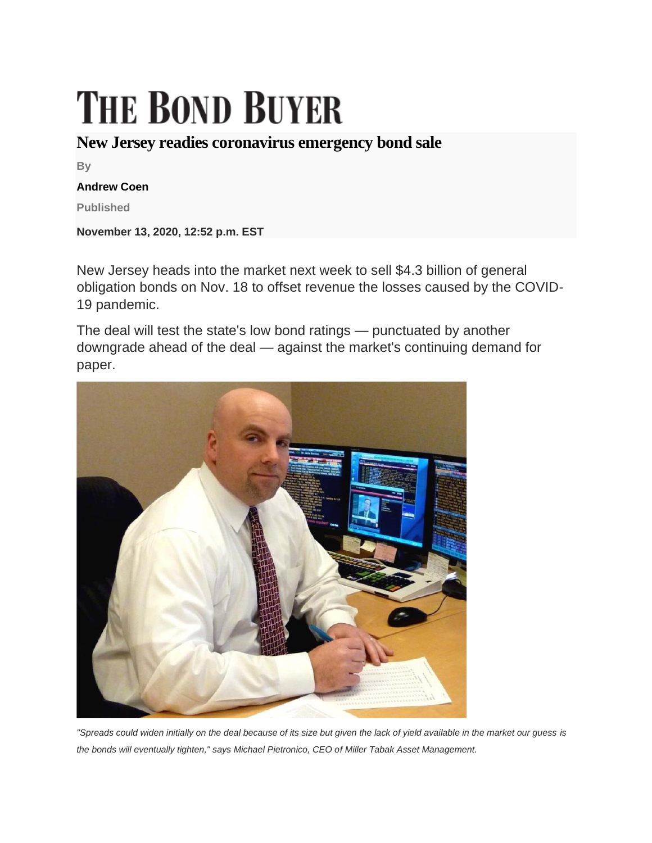## **THE BOND BUYER**

## **New Jersey readies coronavirus emergency bond sale**

**By**

## **Andrew Coen**

**Published**

**November 13, 2020, 12:52 p.m. EST**

New Jersey heads into the market next week to sell \$4.3 billion of general obligation bonds on Nov. 18 to offset revenue the losses caused by the COVID-19 pandemic.

The deal will test the state's low bond ratings — punctuated by another downgrade ahead of the deal — against the market's continuing demand for paper.



*"Spreads could widen initially on the deal because of its size but given the lack of yield available in the market our guess is the bonds will eventually tighten," says Michael Pietronico, CEO of Miller Tabak Asset Management.*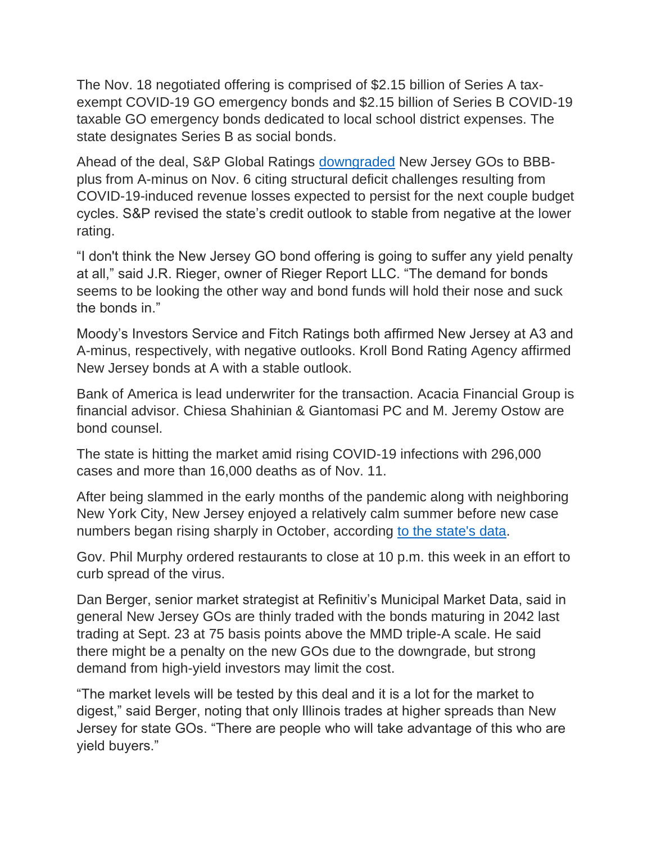The Nov. 18 negotiated offering is comprised of \$2.15 billion of Series A taxexempt COVID-19 GO emergency bonds and \$2.15 billion of Series B COVID-19 taxable GO emergency bonds dedicated to local school district expenses. The state designates Series B as social bonds.

Ahead of the deal, S&P Global Ratings [downgraded](https://www.bondbuyer.com/news/new-jersey-downgraded-ahead-of-4-3b-sale-on-structural-deficit-woes) New Jersey GOs to BBBplus from A-minus on Nov. 6 citing structural deficit challenges resulting from COVID-19-induced revenue losses expected to persist for the next couple budget cycles. S&P revised the state's credit outlook to stable from negative at the lower rating.

"I don't think the New Jersey GO bond offering is going to suffer any yield penalty at all," said J.R. Rieger, owner of Rieger Report LLC. "The demand for bonds seems to be looking the other way and bond funds will hold their nose and suck the bonds in."

Moody's Investors Service and Fitch Ratings both affirmed New Jersey at A3 and A-minus, respectively, with negative outlooks. Kroll Bond Rating Agency affirmed New Jersey bonds at A with a stable outlook.

Bank of America is lead underwriter for the transaction. Acacia Financial Group is financial advisor. Chiesa Shahinian & Giantomasi PC and M. Jeremy Ostow are bond counsel.

The state is hitting the market amid rising COVID-19 infections with 296,000 cases and more than 16,000 deaths as of Nov. 11.

After being slammed in the early months of the pandemic along with neighboring New York City, New Jersey enjoyed a relatively calm summer before new case numbers began rising sharply in October, according [to the state's data.](https://njhealth.maps.arcgis.com/apps/MapSeries/index.html?appid=50c2c6af93364b4da9c0bf6327c04b45&folderid=e5d6362c0f1f4f9684dc650f00741b24)

Gov. Phil Murphy ordered restaurants to close at 10 p.m. this week in an effort to curb spread of the virus.

Dan Berger, senior market strategist at Refinitiv's Municipal Market Data, said in general New Jersey GOs are thinly traded with the bonds maturing in 2042 last trading at Sept. 23 at 75 basis points above the MMD triple-A scale. He said there might be a penalty on the new GOs due to the downgrade, but strong demand from high-yield investors may limit the cost.

"The market levels will be tested by this deal and it is a lot for the market to digest," said Berger, noting that only Illinois trades at higher spreads than New Jersey for state GOs. "There are people who will take advantage of this who are yield buyers."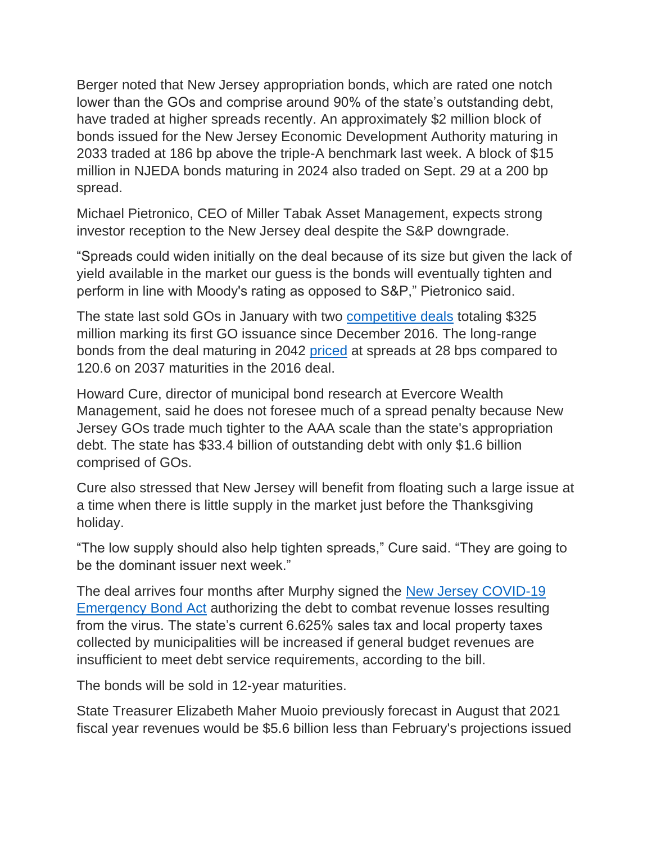Berger noted that New Jersey appropriation bonds, which are rated one notch lower than the GOs and comprise around 90% of the state's outstanding debt, have traded at higher spreads recently. An approximately \$2 million block of bonds issued for the New Jersey Economic Development Authority maturing in 2033 traded at 186 bp above the triple-A benchmark last week. A block of \$15 million in NJEDA bonds maturing in 2024 also traded on Sept. 29 at a 200 bp spread.

Michael Pietronico, CEO of Miller Tabak Asset Management, expects strong investor reception to the New Jersey deal despite the S&P downgrade.

"Spreads could widen initially on the deal because of its size but given the lack of yield available in the market our guess is the bonds will eventually tighten and perform in line with Moody's rating as opposed to S&P," Pietronico said.

The state last sold GOs in January with two [competitive deals](https://www.bondbuyer.com/news/new-jersey-readies-its-first-go-deal-since-2016) totaling \$325 million marking its first GO issuance since December 2016. The long-range bonds from the deal maturing in 2042 [priced](https://www.bondbuyer.com/news/competitive-deals-dominate-the-day) at spreads at 28 bps compared to 120.6 on 2037 maturities in the 2016 deal.

Howard Cure, director of municipal bond research at Evercore Wealth Management, said he does not foresee much of a spread penalty because New Jersey GOs trade much tighter to the AAA scale than the state's appropriation debt. The state has \$33.4 billion of outstanding debt with only \$1.6 billion comprised of GOs.

Cure also stressed that New Jersey will benefit from floating such a large issue at a time when there is little supply in the market just before the Thanksgiving holiday.

"The low supply should also help tighten spreads," Cure said. "They are going to be the dominant issuer next week."

The deal arrives four months after Murphy signed the [New Jersey COVID-19](https://arizent.brightspotcdn.com/d3/71/510445a44ed5bfc4dcd05ccd231a/emergency-go-bond-act-as-enacted2.pdf)  [Emergency Bond Act](https://arizent.brightspotcdn.com/d3/71/510445a44ed5bfc4dcd05ccd231a/emergency-go-bond-act-as-enacted2.pdf) authorizing the debt to combat revenue losses resulting from the virus. The state's current 6.625% sales tax and local property taxes collected by municipalities will be increased if general budget revenues are insufficient to meet debt service requirements, according to the bill.

The bonds will be sold in 12-year maturities.

State Treasurer Elizabeth Maher Muoio previously forecast in August that 2021 fiscal year revenues would be \$5.6 billion less than February's projections issued